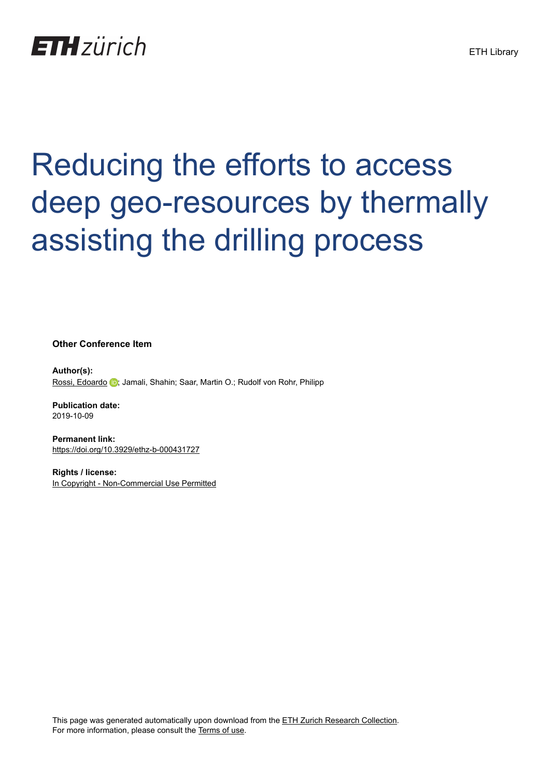## **ETH** zürich

# Reducing the efforts to access deep geo-resources by thermally assisting the drilling process

**Other Conference Item**

**Author(s):** [Rossi, Edoardo](https://orcid.org/0000-0002-2710-5887) (D); Jamali, Shahin; Saar, Martin O.; Rudolf von Rohr, Philipp

**Publication date:** 2019-10-09

**Permanent link:** <https://doi.org/10.3929/ethz-b-000431727>

**Rights / license:** [In Copyright - Non-Commercial Use Permitted](http://rightsstatements.org/page/InC-NC/1.0/)